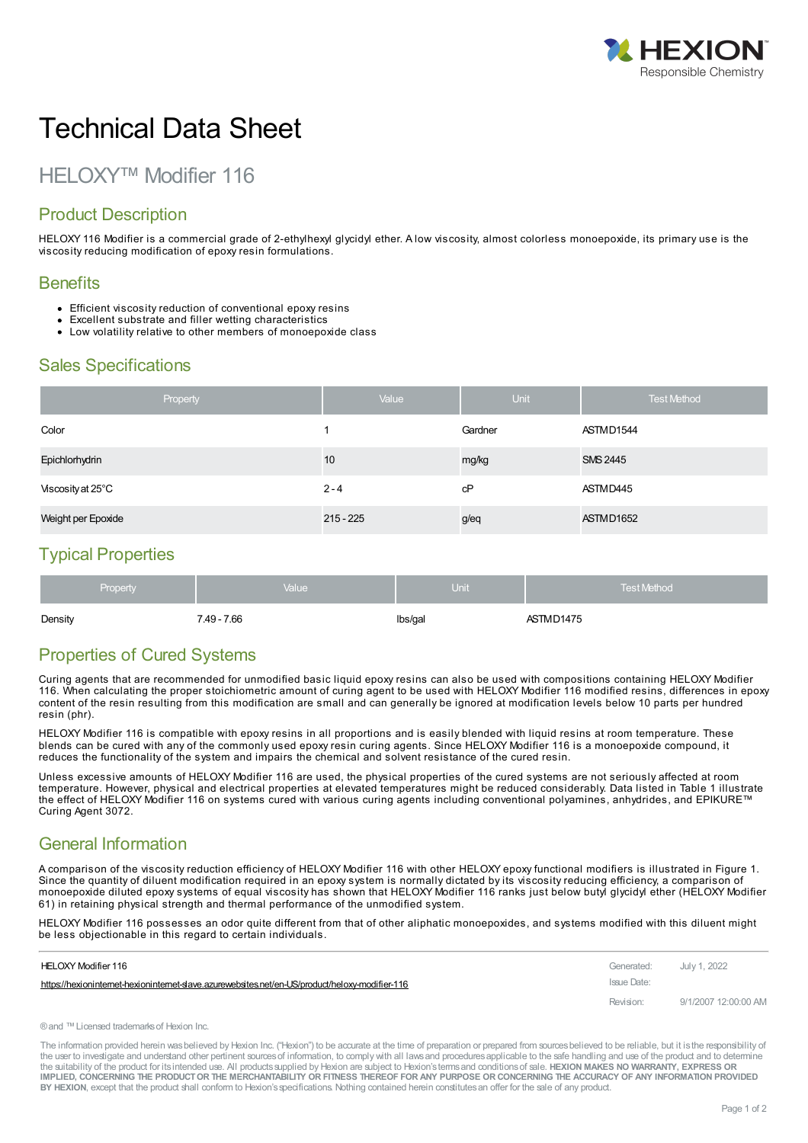

# Technical Data Sheet

## HELOXY™ Modifier 116

## Product Description

HELOXY 116 Modifier is a commercial grade of 2-ethylhexyl glycidyl ether. A low viscosity, almost colorless monoepoxide, its primary use is the viscosity reducing modification of epoxy resin formulations.

#### **Benefits**

- Efficient viscosity reduction of conventional epoxy resins
- Excellent substrate and filler wetting characteristics
- Low volatility relative to other members of monoepoxide class

## Sales Specifications

|                    | Property | Value       | <b>Unit</b> | <b>Test Method</b> |
|--------------------|----------|-------------|-------------|--------------------|
| Color              |          |             | Gardner     | ASTMD1544          |
| Epichlorhydrin     |          | 10          | mg/kg       | <b>SMS 2445</b>    |
| Viscosity at 25°C  |          | $2 - 4$     | сP          | ASTMD445           |
| Weight per Epoxide |          | $215 - 225$ | g/eq        | ASTMD1652          |

### Typical Properties

| Density  | 7.49 - 7.66 | Ibs/gal           | ASTMD1475          |
|----------|-------------|-------------------|--------------------|
| Property | Value       | $\mathsf{Unit}^1$ | <b>Test Method</b> |

## Properties of Cured Systems

Curing agents that are recommended for unmodified basic liquid epoxy resins can also be used with compositions containing HELOXY Modifier 116. When calculating the proper stoichiometric amount of curing agent to be used with HELOXY Modifier 116 modified resins, differences in epoxy content of the resin resulting from this modification are small and can generally be ignored at modification levels below 10 parts per hundred resin (phr).

HELOXY Modifier 116 is compatible with epoxy resins in all proportions and is easily blended with liquid resins at room temperature. These blends can be cured with any of the commonly used epoxy resin curing agents. Since HELOXY Modifier 116 is a monoepoxide compound, it reduces the functionality of the system and impairs the chemical and solvent resistance of the cured resin.

Unless excessive amounts of HELOXY Modifier 116 are used, the physical properties of the cured systems are not seriously affected at room temperature. However, physical and electrical properties at elevated temperatures might be reduced considerably. Data listed in Table 1 illustrate the effect of HELOXY Modifier 116 on systems cured with various curing agents including conventional polyamines, anhydrides, and EPIKURE™ Curing Agent 3072.

## General Information

A comparison of the viscosity reduction efficiency of HELOXY Modifier 116 with other HELOXY epoxy functional modifiers is illustrated in Figure 1. Since the quantity of diluent modification required in an epoxy system is normally dictated by its viscosity reducing efficiency, a comparison of monoepoxide diluted epoxy systems of equal viscosity has shown that HELOXY Modifier 116 ranks just below butyl glycidyl ether (HELOXY Modifier 61) in retaining physical strength and thermal performance of the unmodified system.

HELOXY Modifier 116 possesses an odor quite different from that of other aliphatic monoepoxides, and systems modified with this diluent might be less [objectionable](https://hexioninternet-hexioninternet-slave.azurewebsites.net/en-US/product/heloxy-modifier-116) in this regard to certain individuals.

| HELOXY Modifier 116                                                                           | Generated:  | July 1, 2022         |
|-----------------------------------------------------------------------------------------------|-------------|----------------------|
| https://hexionintemet-hexionintemet-slave.azurewebsites.net/en-US/product/heloxy-modifier-116 | Issue Date: |                      |
|                                                                                               | Revision:   | 9/1/2007 12:00:00 AM |

®and ™Licensed trademarksof Hexion Inc.

The information provided herein was believed by Hexion Inc. ("Hexion") to be accurate at the time of preparation or prepared from sources believed to be reliable, but it is the responsibility of the user to investigate and understand other pertinent sources of information, to comply with all laws and procedures applicable to the safe handling and use of the product and to determine the suitability of the product for itsintended use. All productssupplied by Hexion are subject to Hexion'stermsand conditionsof sale. **HEXION MAKES NO WARRANTY, EXPRESS OR** IMPLIED, CONCERNING THE PRODUCT OR THE MERCHANTABILITY OR FITNESS THEREOF FOR ANY PURPOSE OR CONCERNING THE ACCURACY OF ANY INFORMATION PROVIDED **BY HEXION**, except that the product shall conform to Hexion'sspecifications. Nothing contained herein constitutesan offer for the sale of any product.